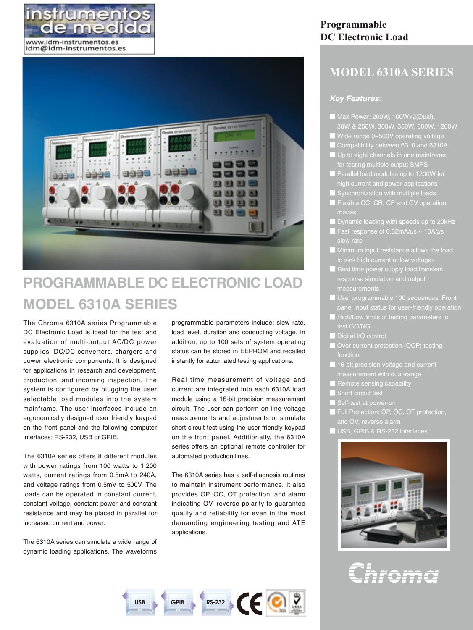



# **PROGRAMMABLE DC ELECTRONIC LOAD MODEL 6310A SERIES**

The Chroma 6310A series Programmable DC Electronic Load is ideal for the test and evaluation of multi-output AC/DC power supplies, DC/DC converters, chargers and power electronic components. It is designed for applications in research and development, production, and incoming inspection. The system is configured by plugging the user selectable load modules into the system mainframe. The user interfaces include an ergonomically designed user friendly keypad on the front panel and the following computer interfaces: RS-232, USB or GPIB.

The 6310A series offers 8 different modules with power ratings from 100 watts to 1,200 watts, current ratings from 0.5mA to 240A, and voltage ratings from 0.5mV to 500V. The loads can be operated in constant current, constant voltage, constant power and constant resistance and may be placed in parallel for increased current and power.

The 6310A series can simulate a wide range of dynamic loading applications. The waveforms

programmable parameters include: slew rate, load level, duration and conducting voltage. In addition, up to 100 sets of system operating status can be stored in EEPROM and recalled instantly for automated testing applications.

Real time measurement of voltage and current are integrated into each 6310A load module using a 16-bit precision measurement circuit. The user can perform on line voltage measurements and adjustments or simulate short circuit test using the user friendly keypad on the front panel. Additionally, the 6310A series offers an optional remote controller for automated production lines.

The 6310A series has a self-diagnosis routines to maintain instrument performance. It also provides OP, OC, OT protection, and alarm indicating OV, reverse polarity to guarantee quality and reliability for even in the most demanding engineering testing and ATE applications.

# **Programmable DC Electronic Load**

# **MODEL 6310A SERIES**

## *Key Features:*

- Max Power: 200W, 100W×2(Dual),
- Wide range 0~500V operating voltage
- **Compatibility between 6310 and 6310A**
- | Up to eight channels in one mainframe,
- Parallel load modules up to 1200W for high current and power applications
- 
- **E** Flexible CC, CR, CP and CV operation
- Dynamic loading with speeds up to 20kHz
- 
- Minimum input resistance allows the load sink high current at low voltage
- Real time power supply load transient response simulation and output measurements
- User programmable 100 sequences. Front
- High/Low limits of testing parameters to test GO/NG
- Digital I/O control
- Over current protection (OCP) testing function
- 16-bit precision voltage and current
- Remote sensing capability
- Short circuit test
- 
- **Full Protection: OP, OC, OT protection,**
- and OV, reverse alarm
- USB, GPIB & RS-232 interfaces



Chroma

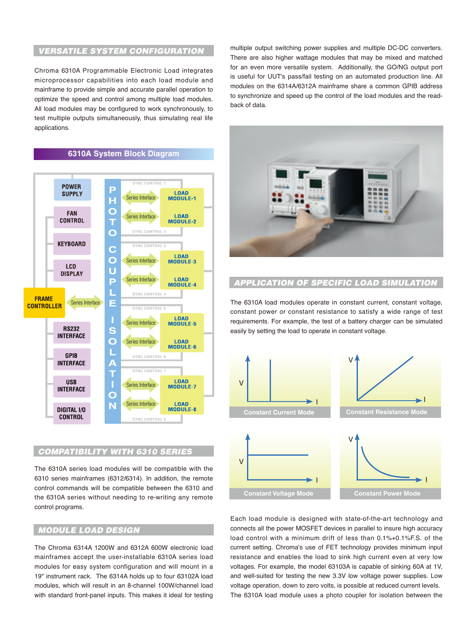# *Versatile System Configuration*

Chroma 6310A Programmable Electronic Load integrates microprocessor capabilities into each load module and mainframe to provide simple and accurate parallel operation to optimize the speed and control among multiple load modules. All load modules may be configured to work synchronously, to test multiple outputs simultaneously, thus simulating real life applications.

**6310A System Block Diagram**



## *Compatibility WITH 6310 SErIES*

The 6310A series load modules will be compatible with the 6310 series mainframes (6312/6314). In addition, the remote control commands will be compatible between the 6310 and the 6310A series without needing to re-writing any remote control programs.

# *Module Load Design*

The Chroma 6314A 1200W and 6312A 600W electronic load mainframes accept the user-installable 6310A series load modules for easy system configuration and will mount in a 19" instrument rack. The 6314A holds up to four 63102A load modules, which will result in an 8-channel 100W/channel load with standard front-panel inputs. This makes it ideal for testing

multiple output switching power supplies and multiple DC-DC converters. There are also higher wattage modules that may be mixed and matched for an even more versatile system. Additionally, the GO/NG output port is useful for UUT's pass/fail testing on an automated production line. All modules on the 6314A/6312A mainframe share a common GPIB address to synchronize and speed up the control of the load modules and the readback of data.



# *Application of Specific Load Simulation*

The 6310A load modules operate in constant current, constant voltage, constant power or constant resistance to satisfy a wide range of test requirements. For example, the test of a battery charger can be simulated easily by setting the load to operate in constant voltage.



Each load module is designed with state-of-the-art technology and connects all the power MOSFET devices in parallel to insure high accuracy load control with a minimum drift of less than 0.1%+0.1%F.S. of the current setting. Chroma's use of FET technology provides minimum input resistance and enables the load to sink high current even at very low voltages. For example, the model 63103A is capable of sinking 60A at 1V, and well-suited for testing the new 3.3V low voltage power supplies. Low voltage operation, down to zero volts, is possible at reduced current levels. The 6310A load module uses a photo coupler for isolation between the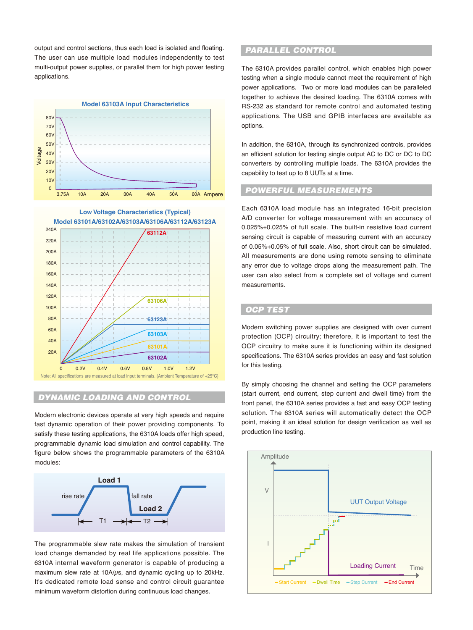output and control sections, thus each load is isolated and floating. The user can use multiple load modules independently to test multi-output power supplies, or parallel them for high power testing applications.





# *Dynamic Loading and Control*

Modern electronic devices operate at very high speeds and require fast dynamic operation of their power providing components. To satisfy these testing applications, the 6310A loads offer high speed, programmable dynamic load simulation and control capability. The figure below shows the programmable parameters of the 6310A modules:



The programmable slew rate makes the simulation of transient load change demanded by real life applications possible. The 6310A internal waveform generator is capable of producing a maximum slew rate at 10A/ $\mu$ s, and dynamic cycling up to 20kHz. It's dedicated remote load sense and control circuit guarantee minimum waveform distortion during continuous load changes.

## *Parallel Control*

The 6310A provides parallel control, which enables high power testing when a single module cannot meet the requirement of high power applications. Two or more load modules can be paralleled together to achieve the desired loading. The 6310A comes with RS-232 as standard for remote control and automated testing applications. The USB and GPIB interfaces are available as options.

In addition, the 6310A, through its synchronized controls, provides an efficient solution for testing single output AC to DC or DC to DC converters by controlling multiple loads. The 6310A provides the capability to test up to 8 UUTs at a time.

#### *Powerful Measurements*

Each 6310A load module has an integrated 16-bit precision A/D converter for voltage measurement with an accuracy of 0.025%+0.025% of full scale. The built-in resistive load current sensing circuit is capable of measuring current with an accuracy of 0.05%+0.05% of full scale. Also, short circuit can be simulated. All measurements are done using remote sensing to eliminate any error due to voltage drops along the measurement path. The user can also select from a complete set of voltage and current measurements.

#### *OCP Test*

Modern switching power supplies are designed with over current protection (OCP) circuitry; therefore, it is important to test the OCP circuitry to make sure it is functioning within its designed specifications. The 6310A series provides an easy and fast solution for this testing.

By simply choosing the channel and setting the OCP parameters (start current, end current, step current and dwell time) from the front panel, the 6310A series provides a fast and easy OCP testing solution. The 6310A series will automatically detect the OCP point, making it an ideal solution for design verification as well as production line testing.

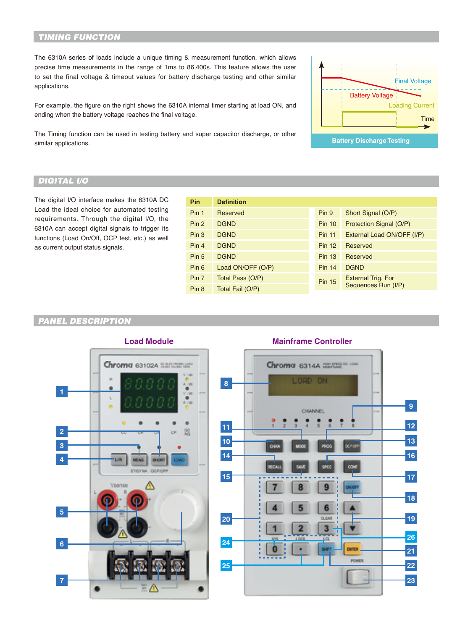# *Timing Function*

The 6310A series of loads include a unique timing & measurement function, which allows precise time measurements in the range of 1ms to 86,400s. This feature allows the user to set the final voltage & timeout values for battery discharge testing and other similar applications.

For example, the figure on the right shows the 6310A internal timer starting at load ON, and ending when the battery voltage reaches the final voltage.

The Timing function can be used in testing battery and super capacitor discharge, or other similar applications.



# *Digital I/O*

The digital I/O interface makes the 6310A DC Load the ideal choice for automated testing requirements. Through the digital I/O, the 6310A can accept digital signals to trigger its functions (Load On/Off, OCP test, etc.) as well as current output status signals.

| <b>Pin</b>       | <b>Definition</b> |               |                            |
|------------------|-------------------|---------------|----------------------------|
| Pin <sub>1</sub> | Reserved          | Pin 9         | Short Signal (O/P)         |
| Pin <sub>2</sub> | <b>DGND</b>       | <b>Pin 10</b> | Protection Signal (O/P)    |
| Pin <sub>3</sub> | <b>DGND</b>       | <b>Pin 11</b> | External Load ON/OFF (I/P) |
| Pin <sub>4</sub> | <b>DGND</b>       | <b>Pin 12</b> | Reserved                   |
| Pin <sub>5</sub> | <b>DGND</b>       | <b>Pin 13</b> | Reserved                   |
| Pin 6            | Load ON/OFF (O/P) | <b>Pin 14</b> | <b>DGND</b>                |
| Pin 7            | Total Pass (O/P)  | <b>Pin 15</b> | <b>External Trig. For</b>  |
| Pin <sub>8</sub> | Total Fail (O/P)  |               | Sequences Run (I/P)        |
|                  |                   |               |                            |

# *PANEL DESCRIPTION*



# **Load Module Mainframe Controller**

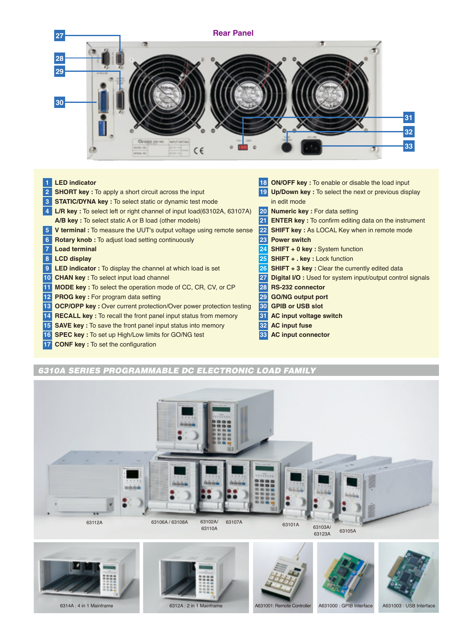

#### **LED indicator**

- **SHORT key :** To apply a short circuit across the input
- **STATIC/DYNA key :** To select static or dynamic test mode
- **L/R key :** To select left or right channel of input load(63102A, 63107A) **A/B key :** To select static A or B load (other models)
- **V terminal :** To measure the UUT's output voltage using remote sense
- **Rotary knob :** To adjust load setting continuously
- **Load terminal**
- **LCD display**
- **LED indicator :** To display the channel at which load is set
- **CHAN key :** To select input load channel
- **MODE key :** To select the operation mode of CC, CR, CV, or CP
- **PROG key :** For program data setting
- **OCP/OPP key :** Over current protection/Over power protection testing
- **RECALL key :** To recall the front panel input status from memory
- **SAVE key :** To save the front panel input status into memory
- **SPEC key :** To set up High/Low limits for GO/NG test
- **CONF key :** To set the configuration
- **ON/OFF key :** To enable or disable the load input **Up/Down key :** To select the next or previous display in edit mode **Numeric key :** For data setting **ENTER key :** To confirm editing data on the instrument **SHIFT** key : As LOCAL Key when in remote mode **Power switch SHIFT + 0 key :** System function **SHIFT + . key :** Lock function **SHIFT + 3 key :** Clear the currently edited data **Digital I/O :** Used for system input/output control signals **RS-232 connector GO/NG output port GPIB or USB slot AC input voltage switch**
- **AC input fuse**
- **AC input connector**

# *6310A Series Programmable DC Electronic Load Family*













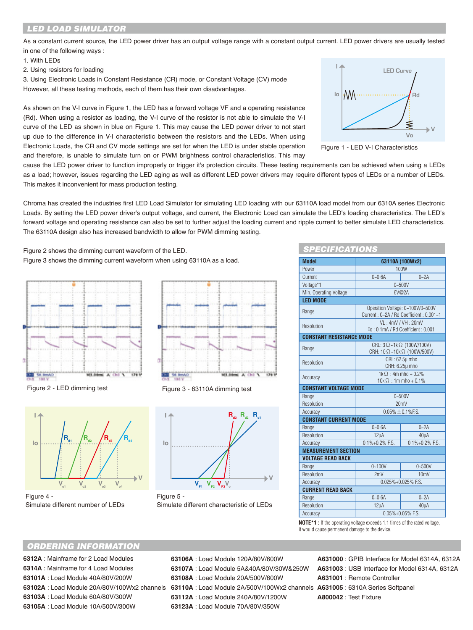# *LED LOAD SIMULATOR*

As a constant current source, the LED power driver has an output voltage range with a constant output current. LED power drivers are usually tested in one of the following ways :

- 1. With LEDs
- 2. Using resistors for loading

3. Using Electronic Loads in Constant Resistance (CR) mode, or Constant Voltage (CV) mode However, all these testing methods, each of them has their own disadvantages.

As shown on the V-I curve in Figure 1, the LED has a forward voltage VF and a operating resistance (Rd). When using a resistor as loading, the V-I curve of the resistor is not able to simulate the V-I curve of the LED as shown in blue on Figure 1. This may cause the LED power driver to not start up due to the difference in V-I characteristic between the resistors and the LEDs. When using Electronic Loads, the CR and CV mode settings are set for when the LED is under stable operation and therefore, is unable to simulate turn on or PWM brightness control characteristics. This may





cause the LED power driver to function improperly or trigger it's protection circuits. These testing requirements can be achieved when using a LEDs as a load; however, issues regarding the LED aging as well as different LED power drivers may require different types of LEDs or a number of LEDs. This makes it inconvenient for mass production testing.

Chroma has created the industries first LED Load Simulator for simulating LED loading with our 63110A load model from our 6310A series Electronic Loads. By setting the LED power driver's output voltage, and current, the Electronic Load can simulate the LED's loading characteristics. The LED's forward voltage and operating resistance can also be set to further adjust the loading current and ripple current to better simulate LED characteristics. The 63110A design also has increased bandwidth to allow for PWM dimming testing.

Figure 2 shows the dimming current waveform of the LED. Figure 3 shows the dimming current waveform when using 63110A as a load.



Figure 2 - LED dimming test



Figure 4 - Simulate different number of LEDs







Figure 5 - Simulate different characteristic of LEDs

| <b>SPECIFICATIONS</b>             |                                                                             |                          |  |  |  |  |  |  |  |
|-----------------------------------|-----------------------------------------------------------------------------|--------------------------|--|--|--|--|--|--|--|
| 63110A (100Wx2)<br><b>Model</b>   |                                                                             |                          |  |  |  |  |  |  |  |
| Power                             | 100W                                                                        |                          |  |  |  |  |  |  |  |
| Current                           | $0 - 0.6A$<br>$0 - 2A$                                                      |                          |  |  |  |  |  |  |  |
| Voltage*1                         | $0 - 500V$                                                                  |                          |  |  |  |  |  |  |  |
| Min. Operating Voltage            |                                                                             | 6V@2A                    |  |  |  |  |  |  |  |
| <b>LED MODE</b>                   |                                                                             |                          |  |  |  |  |  |  |  |
| Range                             | Operation Voltage: 0~100V/0~500V<br>Current: 0~2A / Rd Coefficient: 0.001~1 |                          |  |  |  |  |  |  |  |
| Resolution                        |                                                                             | VL: 4mV / VH: 20mV       |  |  |  |  |  |  |  |
| Io: 0.1mA / Rd Coefficient: 0.001 |                                                                             |                          |  |  |  |  |  |  |  |
| <b>CONSTANT RESISTANCE MODE</b>   |                                                                             |                          |  |  |  |  |  |  |  |
| Range                             | CRL: $3 \Omega - 1k \Omega$ (100W/100V)<br>CRH: 10 Ω ~10k Ω (100W/500V)     |                          |  |  |  |  |  |  |  |
| Resolution                        | CRL: 62.5µ mho<br>CRH: 6.25µ mho                                            |                          |  |  |  |  |  |  |  |
| Accuracy                          | $1k\Omega$ : 4m mho + 0.2%<br>$10k\Omega$ : 1m mho + 0.1%                   |                          |  |  |  |  |  |  |  |
| <b>CONSTANT VOLTAGE MODE</b>      |                                                                             |                          |  |  |  |  |  |  |  |
| Range                             | $0 - 500V$                                                                  |                          |  |  |  |  |  |  |  |
| Resolution                        | 20mV                                                                        |                          |  |  |  |  |  |  |  |
| Accuracy                          | $0.05\% \pm 0.1\%$ F.S.                                                     |                          |  |  |  |  |  |  |  |
| <b>CONSTANT CURRENT MODE</b>      |                                                                             |                          |  |  |  |  |  |  |  |
| Range                             | $0 - 0.6A$                                                                  | $0-2A$                   |  |  |  |  |  |  |  |
| Resolution                        | $12\mu$ A                                                                   | 40uA                     |  |  |  |  |  |  |  |
| Accuracy                          | $0.1\% + 0.2\%$ F.S.                                                        | $0.1\% + 0.2\%$ F.S.     |  |  |  |  |  |  |  |
| <b>MEASUREMENT SECTION</b>        |                                                                             |                          |  |  |  |  |  |  |  |
| <b>VOLTAGE READ BACK</b>          |                                                                             |                          |  |  |  |  |  |  |  |
| Range                             | $0 - 100V$                                                                  | $0 - 500V$               |  |  |  |  |  |  |  |
| Resolution                        | 2mV                                                                         | 10mV                     |  |  |  |  |  |  |  |
|                                   | 0.025%+0.025% F.S.                                                          |                          |  |  |  |  |  |  |  |
| Accuracy                          |                                                                             |                          |  |  |  |  |  |  |  |
| <b>CURRENT READ BACK</b>          |                                                                             |                          |  |  |  |  |  |  |  |
| Range                             | $0 - 0.6A$                                                                  | $0 - 2A$                 |  |  |  |  |  |  |  |
| Resolution<br>Accuracy            | $12\mu$ A                                                                   | 40µA<br>0.05%+0.05% F.S. |  |  |  |  |  |  |  |

**NOTE\*1 :** If the operating voltage exceeds 1.1 times of the rated voltage, it would cause permanent damage to the device.

#### *ORDERING INFORMATION*

**6312A** : Mainframe for 2 Load Modules **6314A** : Mainframe for 4 Load Modules **63101A** : Load Module 40A/80V/200W **63102A** : Load Module 20A/80V/100Wx2 channels **63110A** : Load Module 2A/500V/100Wx2 channels **A631005** : 6310A Series Softpanel **63103A** : Load Module 60A/80V/300W **63105A** : Load Module 10A/500V/300W

- **63106A** : Load Module 120A/80V/600W **63107A** : Load Module 5A&40A/80V/30W&250W **63108A** : Load Module 20A/500V/600W
- 
- 
- **63112A** : Load Module 240A/80V/1200W
- **63123A** : Load Module 70A/80V/350W
- **A631000** : GPIB Interface for Model 6314A, 6312A **A631003** : USB Interface for Model 6314A, 6312A **A631001** : Remote Controller **A800042** : Test Fixture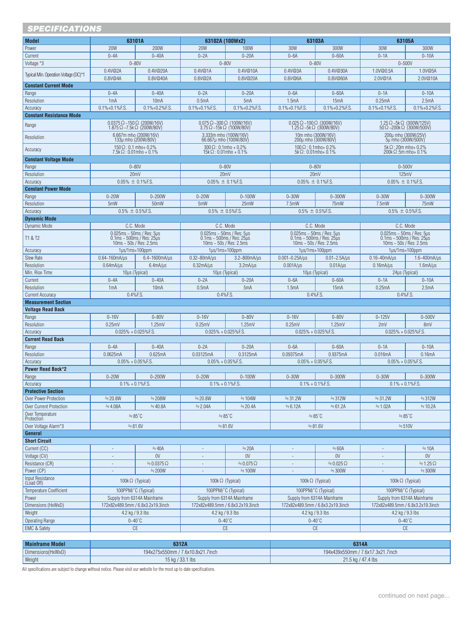| <b>SPECIFICATIONS</b>                   |                                                                                 |                                                                      |                                                                                 |                                   |                                                                                                                                                                                                                           |                                      |                                                                                 |                         |  |
|-----------------------------------------|---------------------------------------------------------------------------------|----------------------------------------------------------------------|---------------------------------------------------------------------------------|-----------------------------------|---------------------------------------------------------------------------------------------------------------------------------------------------------------------------------------------------------------------------|--------------------------------------|---------------------------------------------------------------------------------|-------------------------|--|
| <b>Model</b>                            | 63101A                                                                          |                                                                      | 63102A (100Wx2)                                                                 |                                   | 63103A                                                                                                                                                                                                                    |                                      | 63105A                                                                          |                         |  |
| Power                                   | <b>20W</b>                                                                      | 200W                                                                 | <b>20W</b>                                                                      | 100W                              | <b>30W</b>                                                                                                                                                                                                                | 300W                                 | 30W                                                                             | 300W                    |  |
| Current                                 | $0 - 4A$                                                                        | $0 - 40A$                                                            | $0 - 2A$                                                                        | $0 - 20A$                         | $0 - 6A$                                                                                                                                                                                                                  | $0 - 60A$                            | $0 - 1A$                                                                        | $0 - 10A$               |  |
| Voltage *3                              |                                                                                 | $0 - 80V$                                                            | $0 - 80V$                                                                       |                                   | $0 - 80V$                                                                                                                                                                                                                 |                                      | $0 - 500V$                                                                      |                         |  |
|                                         | 0.4V@2A                                                                         | 0.4V@20A                                                             | 0.4V@1A                                                                         | 0.4V@10A                          | 0.4V@3A                                                                                                                                                                                                                   | 0.4V@30A                             | 1.0V@0.5A                                                                       | 1.0V@5A                 |  |
| Typical Min. Operation Voltage (DC)*1   | 0.8V@4A                                                                         | 0.8V@40A                                                             | 0.8V@2A                                                                         | 0.8V@20A                          | 0.8V@6A                                                                                                                                                                                                                   | 0.8V@60A                             | 2.0V@1A                                                                         | 2.0V@10A                |  |
| <b>Constant Current Mode</b>            |                                                                                 |                                                                      |                                                                                 |                                   |                                                                                                                                                                                                                           |                                      |                                                                                 |                         |  |
| Range                                   | $0 - 4A$                                                                        | $0 - 40A$                                                            | $0 - 2A$                                                                        | $0 - 20A$                         | $0 - 6A$                                                                                                                                                                                                                  | $0 - 60A$                            | $0 - 1A$                                                                        | $0 - 10A$               |  |
| Resolution                              | 1mA                                                                             | 10 <sub>m</sub> A                                                    | $0.5m$ A                                                                        | 5mA                               | 1.5mA                                                                                                                                                                                                                     | 15 <sub>m</sub> A                    | 0.25mA                                                                          | 2.5mA                   |  |
| Accuracy                                | $0.1\% + 0.1\%$ F.S.                                                            | $0.1\% + 0.2\%$ F.S.                                                 | $0.1\% + 0.1\%$ F.S.                                                            | $0.1\% + 0.2\%$ F.S.              | $0.1\% + 0.1\%$ F.S.                                                                                                                                                                                                      | $0.1\% + 0.2\%$ F.S.                 | $0.1\% + 0.1\%$ F.S.                                                            | $0.1\% + 0.2\%$ F.S.    |  |
| <b>Constant Resistance Mode</b>         |                                                                                 |                                                                      |                                                                                 |                                   |                                                                                                                                                                                                                           |                                      |                                                                                 |                         |  |
| Range                                   | $0.0375 \Omega$ ~150 $\Omega$ (200W/16V)                                        | 1.875 $\Omega$ ~7.5k $\Omega$ (200W/80V)                             | $0.075 \Omega - 300 \Omega$ (100W/16V)<br>$3.75 \Omega - 15k \Omega$ (100W/80V) |                                   | $0.025 \Omega$ ~100 $\Omega$ (300W/16V)                                                                                                                                                                                   | $1.25 \Omega - 5k \Omega$ (300W/80V) | 1.25 $\Omega$ ~5k $\Omega$ (300W/125V)<br>$50 \Omega - 200k \Omega$ (300W/500V) |                         |  |
| Resolution                              |                                                                                 | 6.667m mho (200W/16V)                                                | 3.333m mho (100W/16V)                                                           |                                   | 10m mho (300W/16V)                                                                                                                                                                                                        |                                      | 200u mho (300W/25V)                                                             |                         |  |
|                                         | 133µ mho (200W/80V)                                                             |                                                                      | 66.667µ mho (100W/80V)                                                          |                                   | 200µ mho (300W/80V)                                                                                                                                                                                                       |                                      | 5µ mho (300W/500V)                                                              |                         |  |
| Accuracy                                | $150 \Omega$ : 0.1 mho+ 0.2%<br>$7.5k\Omega$ : 0.01mho + 0.1%                   |                                                                      | $300 \Omega$ : 0.1mho + 0.2%<br>$15k\Omega$ : 0.01mho + 0.1%                    |                                   | $100 \Omega$ : 0.1mho+ 0.2%<br>$5k\Omega$ : 0.01mho+ 0.1%                                                                                                                                                                 |                                      | $5k\Omega$ : 20m mho+ 0.2%<br>$200k \Omega$ :5m mho+ 0.1%                       |                         |  |
| <b>Constant Voltage Mode</b>            |                                                                                 |                                                                      |                                                                                 |                                   |                                                                                                                                                                                                                           |                                      |                                                                                 |                         |  |
| Range                                   |                                                                                 | $0 - 80V$                                                            | $0 - 80V$                                                                       |                                   | $0 - 80V$                                                                                                                                                                                                                 |                                      | $0 - 500V$                                                                      |                         |  |
| Resolution                              |                                                                                 | 20mV                                                                 | 20mV                                                                            |                                   |                                                                                                                                                                                                                           | 20mV                                 | 125mV                                                                           |                         |  |
| Accuracy                                | $0.05\% \pm 0.1\%$ F.S.                                                         |                                                                      | $0.05\% \pm 0.1\%$ F.S.                                                         |                                   | $0.05\% \pm 0.1\%$ F.S.                                                                                                                                                                                                   |                                      | $0.05\% \pm 0.1\%$ F.S.                                                         |                         |  |
| <b>Constant Power Mode</b>              |                                                                                 |                                                                      |                                                                                 |                                   |                                                                                                                                                                                                                           |                                      |                                                                                 |                         |  |
| Range                                   | $0 - 20W$                                                                       | $0 - 200W$                                                           | $0 - 20W$                                                                       | $0 - 100W$                        | $0 - 30W$                                                                                                                                                                                                                 | $0 - 300W$                           | $0 - 30W$                                                                       | $0 - 300W$              |  |
| Resolution                              | 5mW                                                                             | 50mW                                                                 | 5mW                                                                             | 25mW                              | 7.5mW                                                                                                                                                                                                                     | 75mW                                 | 7.5mW                                                                           | 75mW                    |  |
| Accuracy                                | $0.5\% \pm 0.5\%$ F.S.                                                          |                                                                      | $0.5\% \pm 0.5\%$ F.S.                                                          |                                   | $0.5\% \pm 0.5\%$ F.S.                                                                                                                                                                                                    |                                      | $0.5\% \pm 0.5\%$ F.S.                                                          |                         |  |
| <b>Dynamic Mode</b>                     |                                                                                 |                                                                      |                                                                                 |                                   |                                                                                                                                                                                                                           |                                      |                                                                                 |                         |  |
| Dynamic Mode                            | C.C. Mode                                                                       |                                                                      | C.C. Mode                                                                       |                                   |                                                                                                                                                                                                                           | C.C. Mode                            | C.C. Mode                                                                       |                         |  |
| T1 & T2                                 |                                                                                 | $0.025$ ms ~ 50ms / Res: 5µs                                         | $0.025ms \sim 50ms / Res: 5\mu s$<br>$0.1ms \sim 500ms / Res: 25\mu s$          |                                   |                                                                                                                                                                                                                           |                                      | $0.025$ ms ~ 50ms / Res: 5µs<br>$0.1$ ms ~ 500ms / Res: 25µs                    |                         |  |
|                                         | $0.1 \text{ms} \sim 500 \text{ms}$ / Res: 25 $\mu$ s<br>10ms ~ 50s / Res: 2.5ms |                                                                      | $10\text{ms} \sim 50\text{s}$ / Res: 2.5ms                                      |                                   | $\begin{array}{c} 0.025 \text{ms} \sim 50 \text{ms} / \text{Res: } 5 \text{ps} \\ 0.1 \text{ms} \sim 500 \text{ms} / \text{Res: } 25 \text{ps} \\ 10 \text{ms} \sim 50 \text{s} / \text{Res: } 2.5 \text{ms} \end{array}$ |                                      | $10ms - 50s$ / Res: 2.5ms                                                       |                         |  |
| Accuracy                                | $1\mu$ s/ $1\text{ms}+100\text{ppm}$                                            |                                                                      | $1\mu$ s/ $1\text{ms}+100$ ppm                                                  |                                   |                                                                                                                                                                                                                           | 1µs/1ms+100ppm                       | $1\mu$ s/ $1\text{ms}+100\text{ppm}$                                            |                         |  |
| Slew Rate                               | $0.64 - 160$ mA/ $\mu$ s                                                        | $6.4 - 1600$ mA/ $\mu$ s                                             | $0.32 - 80$ mA/ $\mu$ s                                                         | $3.2 - 800$ mA/ $\mu$ s           | $0.001 - 0.25A/\mu s$                                                                                                                                                                                                     | $0.01 - 2.5A/\mu s$                  | $0.16 - 40$ mA/ $\mu$ s                                                         | $1.6 - 400$ mA/ $\mu$ s |  |
| Resolution<br>Min. Rise Time            | 0.64 <sub>m</sub> A/µs                                                          | 6.4 <sub>m</sub> A/µs                                                | $0.32$ m $A$ / $\mu$ s                                                          | $3.2mA/\mu s$                     | $0.001A/\mu s$                                                                                                                                                                                                            | $0.01A/\mu s$                        | $0.16$ m $A$ / $\mu$ s                                                          | 1.6 <sub>m</sub> A/µs   |  |
| Current                                 | $0 - 4A$                                                                        | 10µs (Typical)<br>$0 - 40A$                                          | $10\mu s$ (Typical)<br>$0 - 2A$                                                 | $0 - 20A$                         | $10\mu s$ (Typical)<br>$0 - 6A$                                                                                                                                                                                           | $0 - 60A$                            | $24\mu s$ (Typical)<br>$0-1A$                                                   | $0 - 10A$               |  |
| Resolution                              | 1mA                                                                             | 10 <sub>m</sub> A                                                    | 0.5 <sub>m</sub> A                                                              | 5mA                               | 1.5 <sub>m</sub> A                                                                                                                                                                                                        | 15mA                                 | 0.25mA                                                                          | 2.5mA                   |  |
| <b>Current Accuracy</b>                 | 0.4%F.S.                                                                        |                                                                      | $0.4%$ F.S.                                                                     |                                   | 0.4%F.S.                                                                                                                                                                                                                  |                                      | 0.4%F.S.                                                                        |                         |  |
| <b>Measurement Section</b>              |                                                                                 |                                                                      |                                                                                 |                                   |                                                                                                                                                                                                                           |                                      |                                                                                 |                         |  |
| <b>Voltage Read Back</b>                |                                                                                 |                                                                      |                                                                                 |                                   |                                                                                                                                                                                                                           |                                      |                                                                                 |                         |  |
| Range                                   | $0 - 16V$                                                                       | $0 - 80V$                                                            | $0 - 16V$                                                                       | $0 - 80V$                         | $0 - 16V$                                                                                                                                                                                                                 | $0 - 80V$                            | $0 - 125V$                                                                      | $0 - 500V$              |  |
| Resolution                              | 0.25mV                                                                          | 1.25mV                                                               | 0.25mV                                                                          | 1.25mV                            | 0.25mV                                                                                                                                                                                                                    | 1.25mV                               | 2mV                                                                             | 8mV                     |  |
| Accuracy                                | $0.025\% + 0.025\%$ F.S.                                                        |                                                                      | $0.025\% + 0.025\%$ F.S.                                                        |                                   | $0.025\% + 0.025\%$ F.S.                                                                                                                                                                                                  |                                      | $0.025\% + 0.025\%$ F.S.                                                        |                         |  |
| <b>Current Read Back</b>                |                                                                                 |                                                                      |                                                                                 |                                   |                                                                                                                                                                                                                           |                                      |                                                                                 |                         |  |
| Range                                   | $0 - 4A$                                                                        | $0 - 40A$                                                            | $0 - 2A$                                                                        | $0 - 20A$                         | $0 - 6A$<br>$0 - 60A$                                                                                                                                                                                                     |                                      | $0-1A$                                                                          | $0 - 10A$               |  |
| Resolution                              | 0.0625mA                                                                        | 0.625mA                                                              | 0.03125mA                                                                       | 0.3125mA                          | 0.09375mA<br>0.9375mA<br>$0.05\% + 0.05\%$ F.S.                                                                                                                                                                           |                                      | 0.016mA<br>0.16mA<br>$0.05\% + 0.05\%$ F.S.                                     |                         |  |
| Accuracy                                | $0.05\% + 0.05\%$ F.S                                                           |                                                                      | $0.05\% + 0.05\%$ F.S.                                                          |                                   |                                                                                                                                                                                                                           |                                      |                                                                                 |                         |  |
| <b>Power Read Back*2</b><br>Range       | $0 - 20W$                                                                       | $0 - 200W$                                                           | $0 - 20W$                                                                       | $0 - 100W$                        | $0 - 30W$                                                                                                                                                                                                                 | $0 - 300W$                           | $0 - 30W$                                                                       | $0 - 300W$              |  |
| Accuracy                                | $0.1\% + 0.1\%$ F.S.                                                            |                                                                      | $0.1\% + 0.1\%$ F.S.                                                            |                                   | $0.1\% + 0.1\%$ F.S.                                                                                                                                                                                                      |                                      | $0.1\% + 0.1\%$ F.S.                                                            |                         |  |
| <b>Protective Section</b>               |                                                                                 |                                                                      |                                                                                 |                                   |                                                                                                                                                                                                                           |                                      |                                                                                 |                         |  |
| Over Power Protection                   | $\approx$ 20.8W                                                                 | $\div$ 208W                                                          | $\approx$ 20.8W                                                                 | $\approx$ 104W                    | $\approx$ 31.2W                                                                                                                                                                                                           | $\approx$ 312W                       | $\approx$ 31.2W                                                                 | $\approx$ 312W          |  |
| Over Current Protection                 | $\stackrel{\scriptstyle \textrm{+}}{\scriptstyle \textrm{+}} 4.08$ A            | $\stackrel{\scriptstyle \textrm{+}}{\scriptstyle \textrm{+}} 40.8$ A | $\approx$ 2.04A                                                                 | $\approx$ 20.4A                   | $\approx 6.12A$                                                                                                                                                                                                           | $\approx 61.2A$                      | $\approx$ 1.02A                                                                 | $\approx$ 10.2A         |  |
| Over Temperature                        | $= 85^{\circ}$ C                                                                |                                                                      | $= 85^{\circ}$ C                                                                |                                   | $= 85^{\circ}$ C                                                                                                                                                                                                          |                                      | $=85^{\circ}$ C                                                                 |                         |  |
| Protection                              |                                                                                 |                                                                      |                                                                                 |                                   |                                                                                                                                                                                                                           |                                      |                                                                                 |                         |  |
| $\approx 81.6V$<br>Over Voltage Alarm*3 |                                                                                 | $= 81.6V$                                                            |                                                                                 |                                   | $\approx 81.6V$                                                                                                                                                                                                           | $= 510V$                             |                                                                                 |                         |  |
| General                                 |                                                                                 |                                                                      |                                                                                 |                                   |                                                                                                                                                                                                                           |                                      |                                                                                 |                         |  |
| <b>Short Circuit</b><br>Current (CC)    |                                                                                 | $\stackrel{.}{=}$ 40A                                                | $\overline{\phantom{a}}$                                                        | $\approx$ 20A                     | $\overline{\phantom{a}}$                                                                                                                                                                                                  | $=60A$                               |                                                                                 | $\stackrel{.}{=}$ 10A   |  |
| Voltage (CV)                            | ÷,                                                                              | 0V                                                                   | $\overline{\phantom{a}}$                                                        | 0V                                | $\overline{\phantom{a}}$                                                                                                                                                                                                  | 0V                                   | $\sim$                                                                          | 0V                      |  |
| Resistance (CR)                         | $\overline{\phantom{a}}$                                                        | $\approx 0.0375 \Omega$                                              | $\overline{\phantom{a}}$                                                        | $\stackrel{.}{=} 0.075 \Omega$    | $\overline{\phantom{a}}$                                                                                                                                                                                                  | $\approx 0.025 \Omega$               | $\overline{\phantom{a}}$                                                        | $\approx$ 1.25 $\Omega$ |  |
| Power (CP)                              |                                                                                 | $\div$ 200W                                                          | $\overline{\phantom{a}}$                                                        | $\stackrel{.}{=} 100W$            | $\overline{\phantom{a}}$                                                                                                                                                                                                  | $\approx$ 300W                       |                                                                                 | $\approx$ 300W          |  |
| <b>Input Resistance</b>                 |                                                                                 |                                                                      |                                                                                 |                                   |                                                                                                                                                                                                                           |                                      |                                                                                 |                         |  |
| (Load Off)                              | 100 $k \Omega$ (Typical)                                                        |                                                                      | 100k $\Omega$ (Typical)                                                         |                                   | 100 $k \Omega$ (Typical)                                                                                                                                                                                                  |                                      | 100 $k \Omega$ (Typical)                                                        |                         |  |
| <b>Temperature Coefficient</b>          |                                                                                 | 100PPM/°C (Typical)                                                  | 100PPM/°C (Typical)                                                             |                                   | 100PPM/°C (Typical)                                                                                                                                                                                                       |                                      | 100PPM/°C (Typical)                                                             |                         |  |
| Power                                   |                                                                                 | Supply from 6314A Mainframe                                          | Supply from 6314A Mainframe                                                     |                                   | Supply from 6314A Mainframe                                                                                                                                                                                               |                                      | Supply from 6314A Mainframe                                                     |                         |  |
| Dimensions (HxWxD)                      |                                                                                 | 172x82x489.5mm / 6.8x3.2x19.3inch                                    |                                                                                 | 172x82x489.5mm / 6.8x3.2x19.3inch | 172x82x489.5mm / 6.8x3.2x19.3inch                                                                                                                                                                                         |                                      | 172x82x489.5mm / 6.8x3.2x19.3inch                                               |                         |  |
| Weight                                  |                                                                                 | 4.2 kg / 9.3 lbs                                                     | 4.2 kg / 9.3 lbs                                                                |                                   | 4.2 kg / 9.3 lbs<br>$0 - 40^{\circ}$ C                                                                                                                                                                                    |                                      | 4.2 kg / 9.3 lbs                                                                |                         |  |
| <b>Operating Range</b>                  |                                                                                 | $0-40^{\circ}$ C                                                     |                                                                                 | $0-40^{\circ}$ C                  |                                                                                                                                                                                                                           |                                      | $0-40^{\circ}$ C                                                                |                         |  |
| <b>EMC &amp; Safety</b>                 | $\mathbb{C}\mathsf{E}$                                                          |                                                                      | $\mathbb{C}\mathsf{E}$                                                          |                                   |                                                                                                                                                                                                                           | $\mathbb{C}\mathbb{E}$               | $\mathbb{C}\mathsf{E}$                                                          |                         |  |

| <b>Mainframe Model</b> | 6312A                             | 6314A                             |
|------------------------|-----------------------------------|-----------------------------------|
| Dimensions (HxWxD)     | 194x275x550mm / 7.6x10.8x21.7inch | 194x439x550mm / 7.6x17.3x21.7inch |
| Weight                 | 15 kg / 33.1 lbs                  | 21.5 kg / 47.4 lbs                |

All specifications are subject to change without notice. Please visit our website for the most up to date specifications.